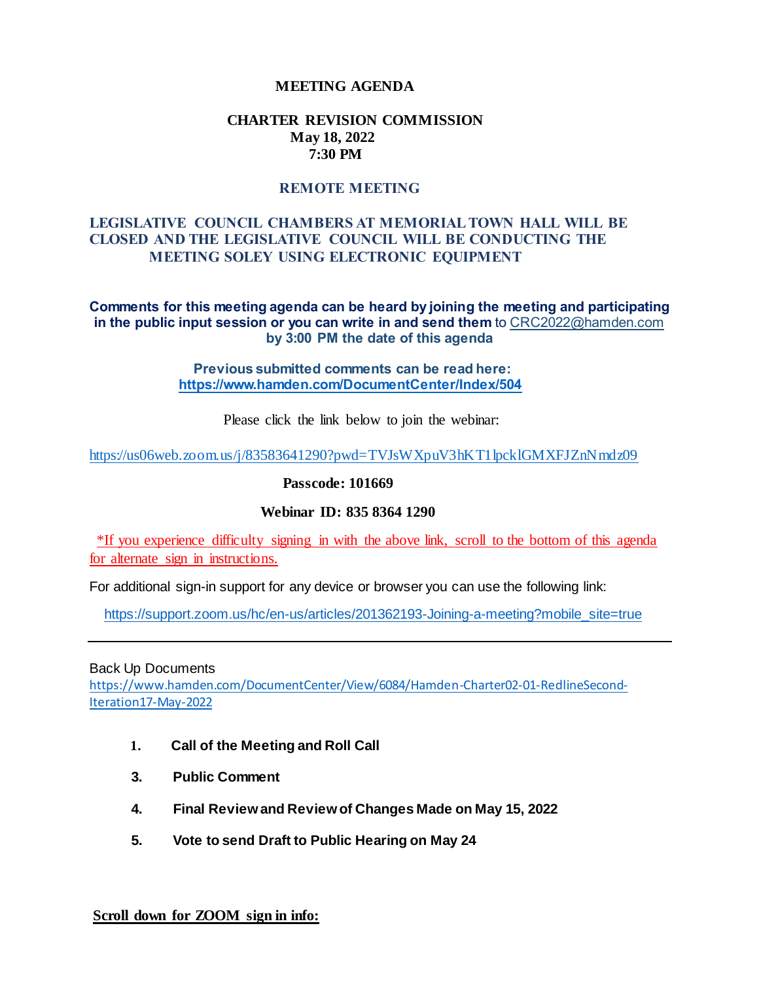### **MEETING AGENDA**

#### **CHARTER REVISION COMMISSION May 18, 2022 7:30 PM**

# **REMOTE MEETING**

## **LEGISLATIVE COUNCIL CHAMBERS AT MEMORIAL TOWN HALL WILL BE CLOSED AND THE LEGISLATIVE COUNCIL WILL BE CONDUCTING THE MEETING SOLEY USING ELECTRONIC EQUIPMENT**

**Comments for this meeting agenda can be heard by joining the meeting and participating in the public input session or you can write in and send them** to CRC2022@hamden.com **by 3:00 PM the date of this agenda**

> **Previous submitted comments can be read here: <https://www.hamden.com/DocumentCenter/Index/504>**

> > Please click the link below to join the webinar:

<https://us06web.zoom.us/j/83583641290?pwd=TVJsWXpuV3hKT1lpcklGMXFJZnNmdz09>

**Passcode: 101669**

#### **Webinar ID: 835 8364 1290**

\*If you experience difficulty signing in with the above link, scroll to the bottom of this agenda for alternate sign in instructions.

For additional sign-in support for any device or browser you can use the following link:

[https://support.zoom.us/hc/en-us/articles/201362193-Joining-a-meeting?mobile\\_site=true](https://support.zoom.us/hc/en-us/articles/201362193-Joining-a-meeting?mobile_site=true)

Back Up Documents

[https://www.hamden.com/DocumentCenter/View/6084/Hamden-Charter02-01-RedlineSecond-](https://www.hamden.com/DocumentCenter/View/6084/Hamden-Charter02-01-RedlineSecond-Iteration17-May-2022)[Iteration17-May-2022](https://www.hamden.com/DocumentCenter/View/6084/Hamden-Charter02-01-RedlineSecond-Iteration17-May-2022)

- **1. Call of the Meeting and Roll Call**
- **3. Public Comment**
- **4. Final Review and Review of Changes Made on May 15, 2022**
- **5. Vote to send Draft to Public Hearing on May 24**

**Scroll down for ZOOM sign in info:**